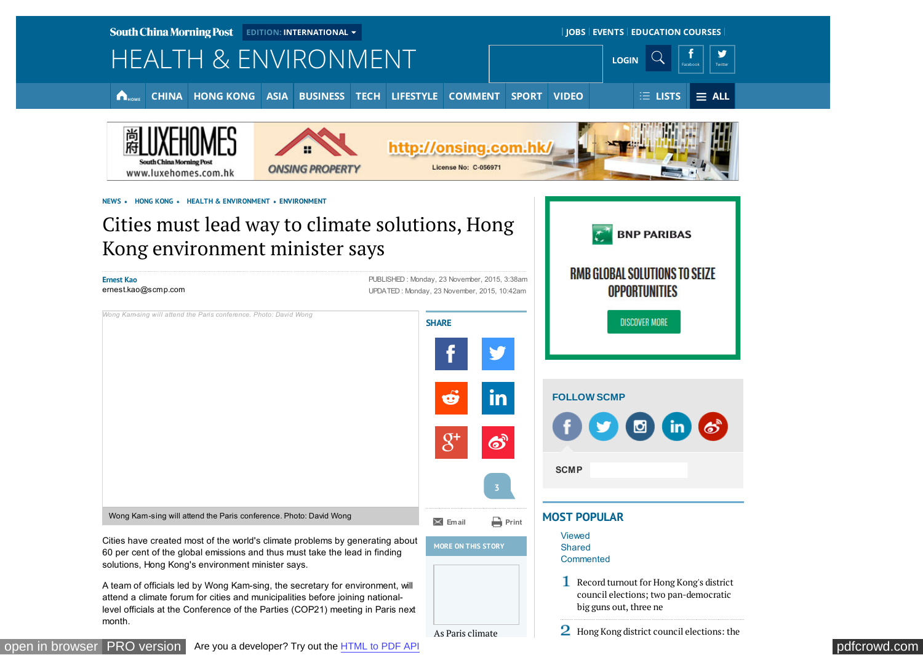<span id="page-0-0"></span>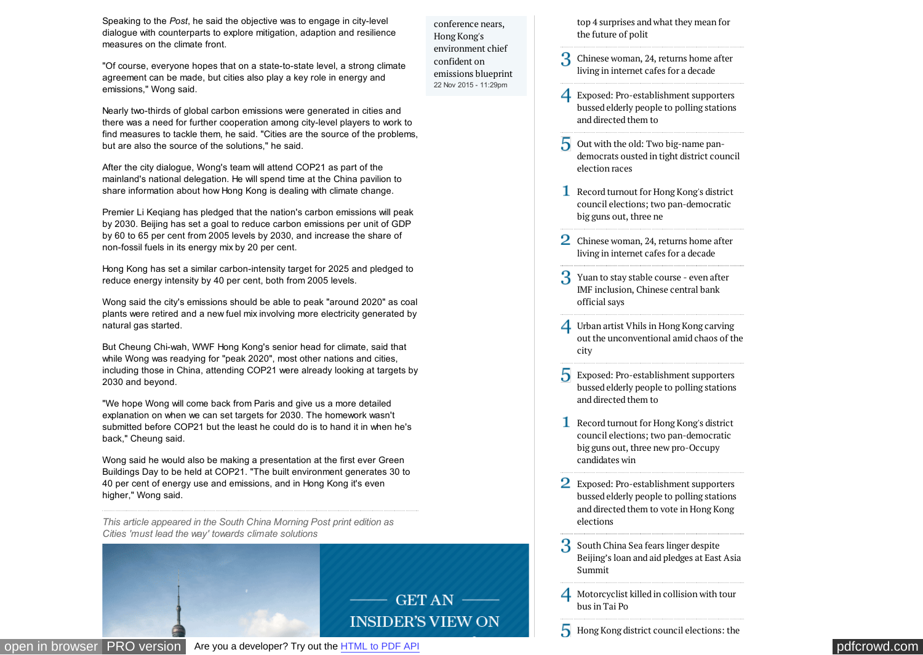<span id="page-1-0"></span>Speaking to the *Post*, he said the objective was to engage in city-level dialogue with counterparts to explore mitigation, adaption and resilience measures on the climate front.

"Of course, everyone hopes that on a state-to-state level, a strong climate agreement can be made, but cities also play a key role in energy and emissions," Wong said.

Nearly two-thirds of global carbon emissions were generated in cities and there was a need for further cooperation among city-level players to work to find measures to tackle them, he said. "Cities are the source of the problems, but are also the source of the solutions," he said.

After the city dialogue, Wong's team will attend COP21 as part of the mainland's national delegation. He will spend time at the China pavilion to share information about how Hong Kong is dealing with climate change.

Premier Li Keqiang has pledged that the nation's carbon emissions will peak by 2030. Beijing has set a goal to reduce carbon emissions per unit of GDP by 60 to 65 per cent from 2005 levels by 2030, and increase the share of non-fossil fuels in its energy mix by 20 per cent.

Hong Kong has set a similar carbon-intensity target for 2025 and pledged to reduce energy intensity by 40 per cent, both from 2005 levels.

Wong said the city's emissions should be able to peak "around 2020" as coal plants were retired and a new fuel mix involving more electricity generated by natural gas started.

But Cheung Chi-wah, WWF Hong Kong's senior head for climate, said that while Wong was readying for "peak 2020", most other nations and cities, including those in China, attending COP21 were already looking at targets by 2030 and beyond.

"We hope Wong will come back from Paris and give us a more detailed explanation on when we can set targets for 2030. The homework wasn't submitted before COP21 but the least he could do is to hand it in when he's back," Cheung said.

Wong said he would also be making a presentation at the first ever Green Buildings Day to be held at COP21. "The built environment generates 30 to 40 per cent of energy use and emissions, and in Hong Kong it's even higher," Wong said.

*This article appeared in the South China Morning Post print edition as Cities 'must lead the way' towards climate solutions*



[top 4 surprises and what they mean for](http://www.scmp.com/news/hong-kong/politics/article/1881970/hong-kong-district-council-elections-top-4-surprises-and) the future of polit

conference nears, Hong Kong's environment chief confident on [emissions blueprint](http://www.scmp.com/news/hong-kong/health-environment/article/1881874/paris-climate-conference-nears-hong-kongs) 22 Nov 2015 - 11:29pm

- 3 [Chinese woman, 24, returns home after](http://www.scmp.com/news/china/society/article/1881751/chinese-woman-24-returns-home-after-living-internet-cafes-decade) living in internet cafes for a decade
- Exposed: Pro-establishment supporters [bussed elderly people to polling stations](http://www.scmp.com/news/hong-kong/politics/article/1881785/hong-kong-district-council-elections-elderly-people-bussed) and directed them to
- Out with the old: Two big-name pan[democrats ousted in tight district council](http://www.scmp.com/news/hong-kong/politics/article/1881920/out-old-two-big-name-pan-democrats-ousted-tight-district) election races
- [Record turnout for Hong Kong's district](http://www.scmp.com/news/hong-kong/politics/article/1881914/polarised-voters-turn-out-record-numbers-hong-kongs-district) council elections; two pan-democratic big guns out, three ne
- [Chinese woman, 24, returns home after](http://www.scmp.com/news/china/society/article/1881751/chinese-woman-24-returns-home-after-living-internet-cafes-decade) living in internet cafes for a decade
- [Yuan to stay stable course even after](http://www.scmp.com/news/china/economy/article/1881918/yuan-stay-stable-course-even-after-imf-inclusion-chinese-central) IMF inclusion, Chinese central bank official says
- Urban artist Vhils in Hong Kong carving  $\boldsymbol{\Delta}$ [out the unconventional amid chaos of the](http://www.scmp.com/news/hong-kong/education-community/article/1881630/urban-artist-vhils-hong-kong-carving-out) city
- Exposed: Pro-establishment supporters [bussed elderly people to polling stations](http://www.scmp.com/news/hong-kong/politics/article/1881785/hong-kong-district-council-elections-elderly-people-bussed) and directed them to
- [Record turnout for Hong Kong's district](http://www.scmp.com/news/hong-kong/politics/article/1881914/polarised-voters-turn-out-record-numbers-hong-kongs-district) council elections; two pan-democratic big guns out, three new pro-Occupy candidates win
- Exposed: Pro-establishment supporters [bussed elderly people to polling stations](http://www.scmp.com/news/hong-kong/politics/article/1881785/hong-kong-district-council-elections-elderly-people-bussed) and directed them to vote in Hong Kong elections
- South China Sea fears linger despite [Beijing's loan and aid pledges at East Asia](http://www.scmp.com/news/china/diplomacy-defence/article/1881917/south-china-sea-fears-linger-despite-beijings-loan-and) Summit
- $\overline{4}$ [Motorcyclist killed in collision with tour](http://www.scmp.com/news/hong-kong/education-community/article/1881752/motorcyclist-killed-collision-tour-bus-tai-po) bus in Tai Po
- 5 [Hong Kong district council elections: the](http://www.scmp.com/news/hong-kong/politics/article/1881970/hong-kong-district-council-elections-top-4-surprises-and)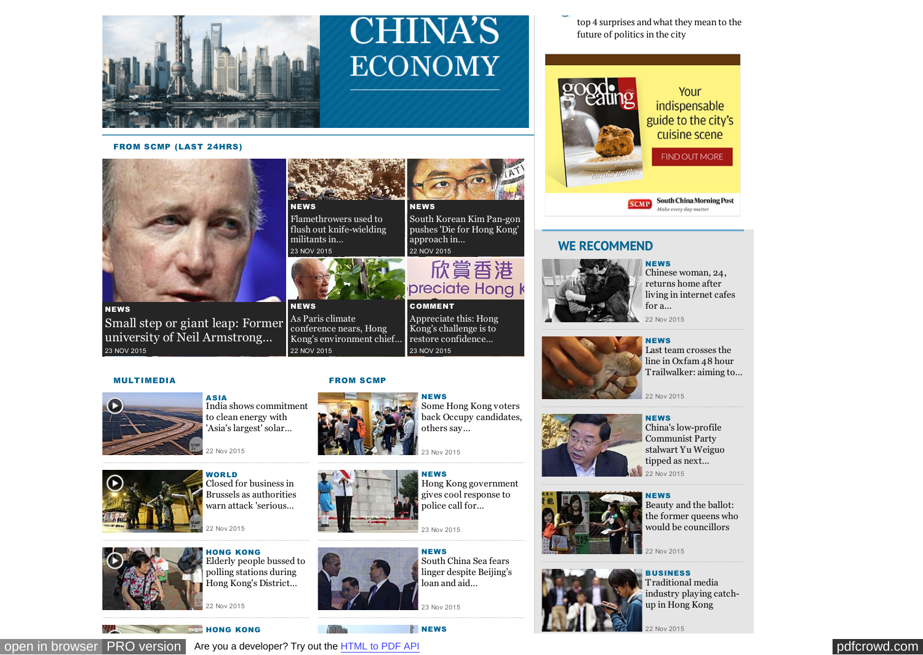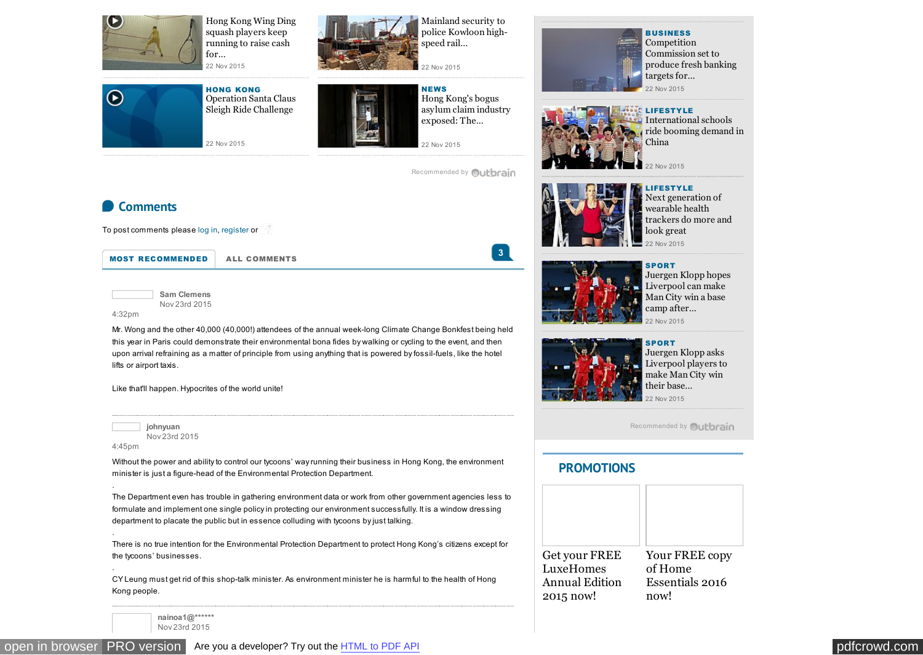<span id="page-3-0"></span>

[Hong Kong Wing Ding](http://www.scmp.com/video/hong-kong/1881728/hong-kong-wing-ding-squash-players-keep-running-raise-cash-charity) squash players keep running to raise cash for…



Mainland security to [police Kowloon high](http://www.scmp.com/news/hong-kong/law-crime/article/1881641/mainland-security-police-kowloon-high-speed-rail-terminus)speed rail… 22 Nov 2015



HONG KONG Operation Santa Claus Sleigh Ride Challenge



NEWS Hong Kong's bogus asylum claim industry exposed: The…

22 Nov 2015

[Recommended by](#page-0-0) **Quibrain** 

**3**



**BUSINESS** Competition Commission set to produce fresh banking targets for… 22 Nov 2015



**CLIFESTYLE** International schools [ride booming demand in](http://www.scmp.com/business/companies/article/1880829/competition-commission-set-produce-fresh-banking-targets) China

22 Nov 2015



LIFESTYLE Next generation of wearable health trackers do more and look great 22 Nov 2015



SPORT Juergen Klopp hopes Liverpool can make Man City win a base camp after… 22 Nov 2015



**SPORT** Juergen Klopp asks Liverpool players to make Man City win their base… 22 Nov 2015

[Recommended by](#page-0-0) **Quibrain** 

### **[PROMOTIONS](http://www.scmp.com/promotions)**



**Comments**

To post comments please [log in,](https://www.scmp.com/user/login?destination=node/1881898%23comment-form) [register](https://www.scmp.com/user/register?destination=node/1881898%23comment-form) or

[MOST RECOMMENDED](http://www.scmp.com/news/hong-kong/health-environment/article/1881898/cities-must-lead-way-climate-solutions-hong-kong?comment-sort=recommended#comments) [ALL COMMENTS](http://www.scmp.com/news/hong-kong/health-environment/article/1881898/cities-must-lead-way-climate-solutions-hong-kong?comment-sort=all#comments)

**Sam Clemens** Nov 23rd 2015

4:32pm

.

.

.

[Mr. Wong and the other 40,000 \(40,000!\) attendees of the](http://www.scmp.com/video/hong-kong/1881730/operation-santa-claus-sleigh-ride-challenge) [annual week-long Climate Change Bonkfest being held](http://www.scmp.com/news/hong-kong/economy/article/1881639/bogus-asylum-claims-fuel-black-market-labour-racket) this year in Paris could demonstrate their environmental bona fides by walking or cycling to the event, and then upon arrival refraining as a matter of principle from using anything that is powered by fossil-fuels, like the hotel lifts or airport taxis.

Like that'll happen. Hypocrites of the world unite!

**johnyuan** Nov 23rd 2015 4:45pm

Without the power and ability to control our tycoons' way running their business in Hong Kong, the environment minister is just a figure-head of the Environmental Protection Department.

The Department even has trouble in gathering environment data or work from other government agencies less to formulate and implement one single policy in protecting our environment successfully. It is a window dressing department to placate the public but in essence colluding with tycoons by just talking.

There is no true intention for the Environmental Protection Department to protect Hong Kong's citizens except for the tycoons' businesses.

CY Leung must get rid of this shop-talk minister. As environment minister he is harmful to the health of Hong Kong people.

**nainoa1@\*\*\*\*\*\*** Nov 23rd 2015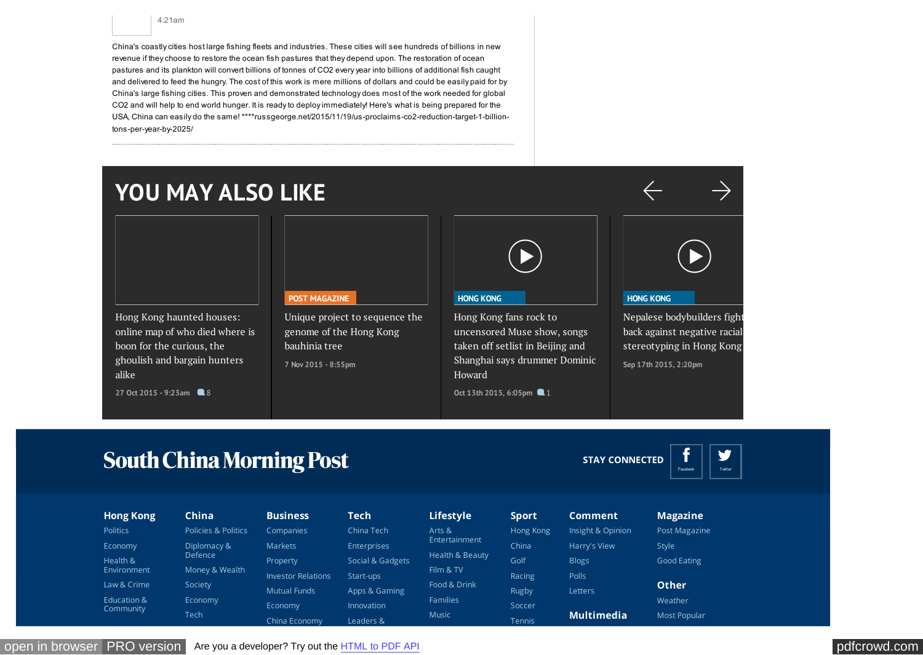4:21am

China's coastly cities host large fishing fleets and industries. These cities will see hundreds of billions in new revenue if they choose to restore the ocean fish pastures that they depend upon. The restoration of ocean pastures and its plankton will convert billions of tonnes of CO2 every year into billions of additional fish caught and delivered to feed the hungry. The cost of this work is mere millions of dollars and could be easily paid for by China's large fishing cities. This proven and demonstrated technology does most of the work needed for global CO2 and will help to end world hunger. It is ready to deploy immediately! Here's what is being prepared for the USA, China can easily do the same! \*\*\*\*russgeorge.net/2015/11/19/us-proclaims-co2-reduction-target-1-billiontons-per-year-by-2025/

# **YOU MAY ALSO LIKE**

Hong Kong haunted houses: [online map of who died where is](http://www.scmp.com/lifestyle/article/1872125/hong-kong-haunted-houses-online-map-who-died-where-boon-bargain-hunters) boon for the curious, the ghoulish and bargain hunters alike

27 Oct 2015 - 9:23am **8** 8

**[POST MAGAZINE](http://www.scmp.com/magazines/post-magazine)**

[Unique project to sequence the](http://www.scmp.com/magazines/post-magazine/article/1875917/unique-project-sequence-genome-hong-kong-bauhinia-tree) genome of the Hong Kong bauhinia tree **7 Nov 2015 - 8:55pm**

|--|

## **[HONG KONG](http://www.scmp.com/video/hong-kong)**

Hong Kong fans rock to uncensored Muse show, songs taken off setlist in Beijing and [Shanghai says drummer Dominic](http://www.scmp.com/video/hong-kong/1862290/hong-kong-fans-rock-uncensored-muse-show-songs-taken-setlist-beijing-and) Howard

**Oct 13th 2015, 6:05pm 1** 



#### **[HONG KONG](http://www.scmp.com/video/hong-kong)**

[Nepalese bodybuilders fight](http://www.scmp.com/video/hong-kong/1858971/nepalese-bodybuilders-fight-back-against-negative-racial-stereotyping-hong) back against negative racial stereotyping in Hong Kong **Sep 17th 2015, 2:20pm**

## **South China Morning Post**

**STAY CONNECTED**



| <b>Hong Kong</b>         | China               | <b>Business</b>           | <b>Tech</b>        | Lifestyle       | <b>Sport</b> | <b>Comment</b>    | <b>Magazine</b> |
|--------------------------|---------------------|---------------------------|--------------------|-----------------|--------------|-------------------|-----------------|
| <b>Politics</b>          | Policies & Politics | Companies                 | China Tech         | Arts &          | Hong Kong    | Insight & Opinion | Post Magazine   |
| Economy                  | Diplomacy &         | <b>Markets</b>            | <b>Enterprises</b> | Entertainment   | China        | Harry's View      | Style           |
| Health &                 | Defence             | Property                  | Social & Gadgets   | Health & Beauty | Golf         | <b>Blogs</b>      | Good Eating     |
| Environment              | Money & Wealth      | <b>Investor Relations</b> | Start-ups          | Film & TV       | Racing       | Polls             |                 |
| Law & Crime              | Society             | <b>Mutual Funds</b>       | Apps & Gaming      | Food & Drink    | Rugby        | Letters           | <b>Other</b>    |
| Education &<br>Community | Economy<br>Tech     | Economy                   | Innovation         | Families        | Soccer       |                   | Weather         |
|                          |                     | China Economy             | Leaders &          | Music           | Tennis       | <b>Multimedia</b> | Most Popular    |